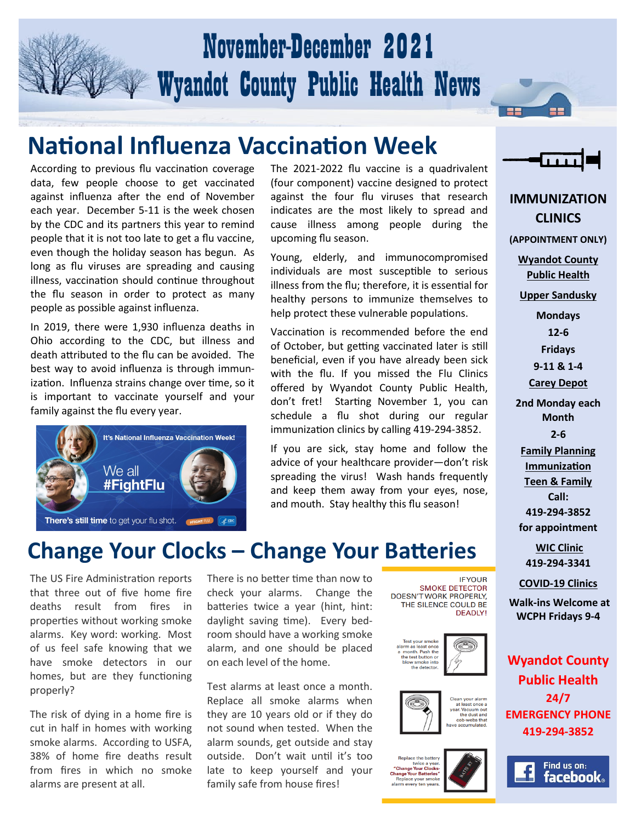## November-December 2021 Wyandot County Public Health News

#### **National Influenza Vaccination Week**

According to previous flu vaccination coverage data, few people choose to get vaccinated against influenza after the end of November each year. December 5-11 is the week chosen by the CDC and its partners this year to remind people that it is not too late to get a flu vaccine, even though the holiday season has begun. As long as flu viruses are spreading and causing illness, vaccination should continue throughout the flu season in order to protect as many people as possible against influenza.

In 2019, there were 1,930 influenza deaths in Ohio according to the CDC, but illness and death attributed to the flu can be avoided. The best way to avoid influenza is through immunization. Influenza strains change over time, so it is important to vaccinate yourself and your family against the flu every year.



The 2021-2022 flu vaccine is a quadrivalent (four component) vaccine designed to protect against the four flu viruses that research indicates are the most likely to spread and cause illness among people during the upcoming flu season.

Young, elderly, and immunocompromised individuals are most susceptible to serious illness from the flu; therefore, it is essential for healthy persons to immunize themselves to help protect these vulnerable populations.

Vaccination is recommended before the end of October, but getting vaccinated later is still beneficial, even if you have already been sick with the flu. If you missed the Flu Clinics offered by Wyandot County Public Health, don't fret! Starting November 1, you can schedule a flu shot during our regular immunization clinics by calling 419-294-3852.

If you are sick, stay home and follow the advice of your healthcare provider—don't risk spreading the virus! Wash hands frequently and keep them away from your eyes, nose, and mouth. Stay healthy this flu season!



**IMMUNIZATION CLINICS (APPOINTMENT ONLY) Wyandot County Public Health Upper Sandusky Mondays 12-6 Fridays 9-11 & 1-4 Carey Depot 2nd Monday each Month 2-6 Family Planning Immunization Teen & Family Call: 419-294-3852 for appointment WIC Clinic 419-294-3341 COVID-19 Clinics Walk-ins Welcome at WCPH Fridays 9-4 Wyandot County Public Health 24/7** 

#### **Change Your Clocks – Change Your Batteries**

The US Fire Administration reports that three out of five home fire deaths result from fires in properties without working smoke alarms. Key word: working. Most of us feel safe knowing that we have smoke detectors in our homes, but are they functioning properly?

The risk of dying in a home fire is cut in half in homes with working smoke alarms. According to USFA, 38% of home fire deaths result from fires in which no smoke alarms are present at all.

There is no better time than now to check your alarms. Change the batteries twice a year (hint, hint: daylight saving time). Every bedroom should have a working smoke alarm, and one should be placed on each level of the home.

Test alarms at least once a month. Replace all smoke alarms when they are 10 years old or if they do not sound when tested. When the alarm sounds, get outside and stay outside. Don't wait until it's too late to keep yourself and your family safe from house fires!





the detecto

the dust and<br>cob-webs that

**IFYOUR** 

**SMOKE DETECTOR** DOESN'T WORK PROPERLY,

**Benlace the batte** twice a year.<br>Change Your Clocks **Change Your Batteries** 





**EMERGENCY PHONE 419-294-3852**